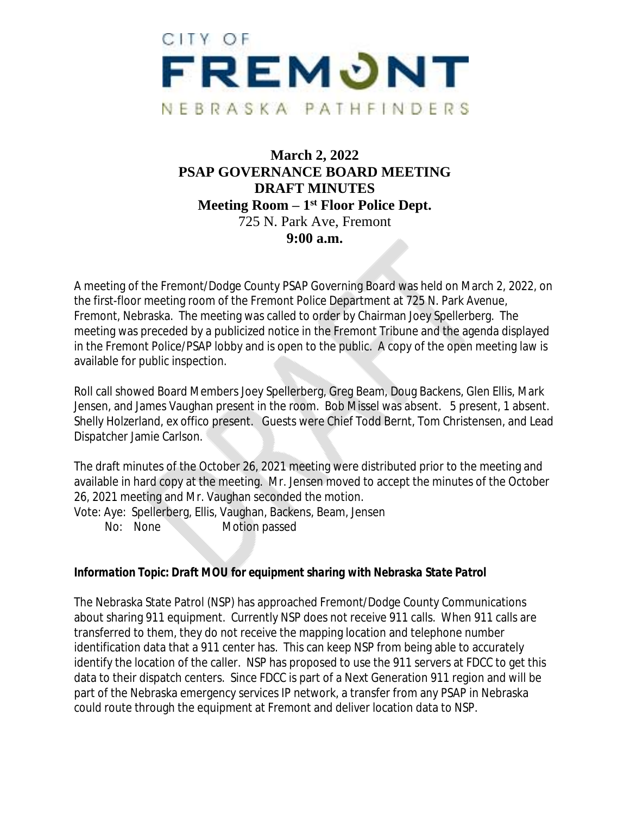

# **March 2, 2022 PSAP GOVERNANCE BOARD MEETING DRAFT MINUTES Meeting Room – 1st Floor Police Dept.** 725 N. Park Ave, Fremont **9:00 a.m.**

A meeting of the Fremont/Dodge County PSAP Governing Board was held on March 2, 2022, on the first-floor meeting room of the Fremont Police Department at 725 N. Park Avenue, Fremont, Nebraska. The meeting was called to order by Chairman Joey Spellerberg. The meeting was preceded by a publicized notice in the Fremont Tribune and the agenda displayed in the Fremont Police/PSAP lobby and is open to the public. A copy of the open meeting law is available for public inspection.

Roll call showed Board Members Joey Spellerberg, Greg Beam, Doug Backens, Glen Ellis, Mark Jensen, and James Vaughan present in the room. Bob Missel was absent. 5 present, 1 absent. Shelly Holzerland, ex offico present. Guests were Chief Todd Bernt, Tom Christensen, and Lead Dispatcher Jamie Carlson.

The draft minutes of the October 26, 2021 meeting were distributed prior to the meeting and available in hard copy at the meeting. Mr. Jensen moved to accept the minutes of the October 26, 2021 meeting and Mr. Vaughan seconded the motion. Vote: Aye: Spellerberg, Ellis, Vaughan, Backens, Beam, Jensen

No: None Motion passed

#### *Information Topic: Draft MOU for equipment sharing with Nebraska State Patrol*

The Nebraska State Patrol (NSP) has approached Fremont/Dodge County Communications about sharing 911 equipment. Currently NSP does not receive 911 calls. When 911 calls are transferred to them, they do not receive the mapping location and telephone number identification data that a 911 center has. This can keep NSP from being able to accurately identify the location of the caller. NSP has proposed to use the 911 servers at FDCC to get this data to their dispatch centers. Since FDCC is part of a Next Generation 911 region and will be part of the Nebraska emergency services IP network, a transfer from any PSAP in Nebraska could route through the equipment at Fremont and deliver location data to NSP.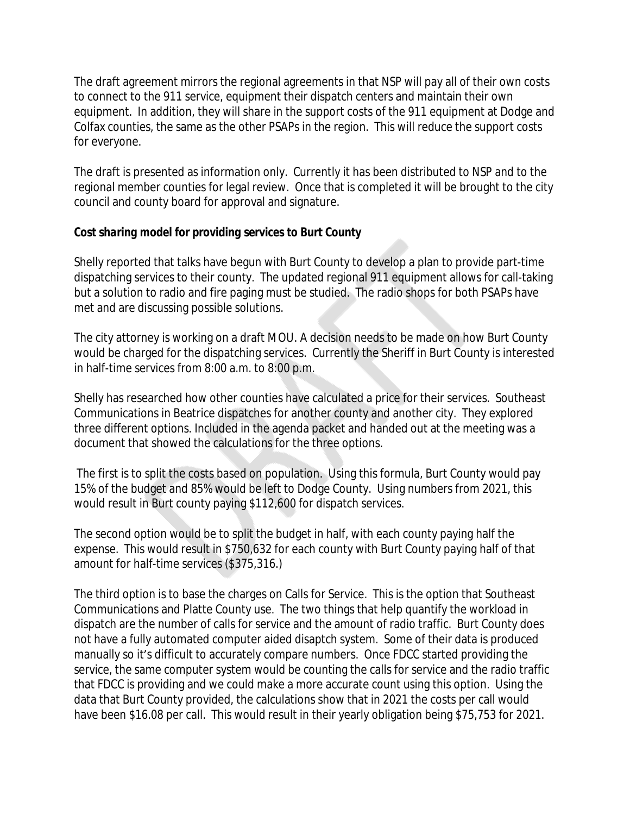The draft agreement mirrors the regional agreements in that NSP will pay all of their own costs to connect to the 911 service, equipment their dispatch centers and maintain their own equipment. In addition, they will share in the support costs of the 911 equipment at Dodge and Colfax counties, the same as the other PSAPs in the region. This will reduce the support costs for everyone.

The draft is presented as information only. Currently it has been distributed to NSP and to the regional member counties for legal review. Once that is completed it will be brought to the city council and county board for approval and signature.

## *Cost sharing model for providing services to Burt County*

Shelly reported that talks have begun with Burt County to develop a plan to provide part-time dispatching services to their county. The updated regional 911 equipment allows for call-taking but a solution to radio and fire paging must be studied. The radio shops for both PSAPs have met and are discussing possible solutions.

The city attorney is working on a draft MOU. A decision needs to be made on how Burt County would be charged for the dispatching services. Currently the Sheriff in Burt County is interested in half-time services from 8:00 a.m. to 8:00 p.m.

Shelly has researched how other counties have calculated a price for their services. Southeast Communications in Beatrice dispatches for another county and another city. They explored three different options. Included in the agenda packet and handed out at the meeting was a document that showed the calculations for the three options.

 The first is to split the costs based on population. Using this formula, Burt County would pay 15% of the budget and 85% would be left to Dodge County. Using numbers from 2021, this would result in Burt county paying \$112,600 for dispatch services.

The second option would be to split the budget in half, with each county paying half the expense. This would result in \$750,632 for each county with Burt County paying half of that amount for half-time services (\$375,316.)

The third option is to base the charges on Calls for Service. This is the option that Southeast Communications and Platte County use. The two things that help quantify the workload in dispatch are the number of calls for service and the amount of radio traffic. Burt County does not have a fully automated computer aided disaptch system. Some of their data is produced manually so it's difficult to accurately compare numbers. Once FDCC started providing the service, the same computer system would be counting the calls for service and the radio traffic that FDCC is providing and we could make a more accurate count using this option. Using the data that Burt County provided, the calculations show that in 2021 the costs per call would have been \$16.08 per call. This would result in their yearly obligation being \$75,753 for 2021.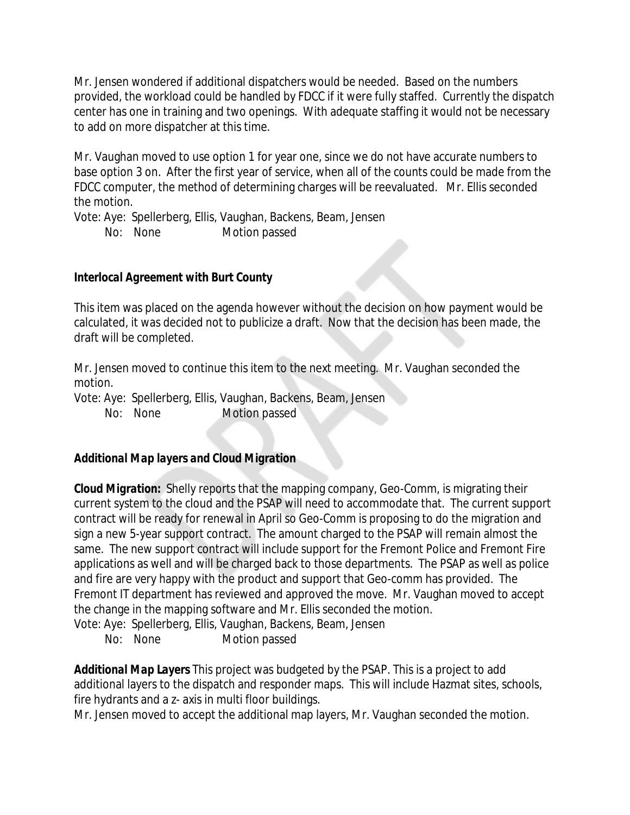Mr. Jensen wondered if additional dispatchers would be needed. Based on the numbers provided, the workload could be handled by FDCC if it were fully staffed. Currently the dispatch center has one in training and two openings. With adequate staffing it would not be necessary to add on more dispatcher at this time.

Mr. Vaughan moved to use option 1 for year one, since we do not have accurate numbers to base option 3 on. After the first year of service, when all of the counts could be made from the FDCC computer, the method of determining charges will be reevaluated. Mr. Ellis seconded the motion.

Vote: Aye: Spellerberg, Ellis, Vaughan, Backens, Beam, Jensen No: None Motion passed

#### *Interlocal Agreement with Burt County*

This item was placed on the agenda however without the decision on how payment would be calculated, it was decided not to publicize a draft. Now that the decision has been made, the draft will be completed.

Mr. Jensen moved to continue this item to the next meeting. Mr. Vaughan seconded the motion.

Vote: Aye: Spellerberg, Ellis, Vaughan, Backens, Beam, Jensen No: None Motion passed

#### *Additional Map layers and Cloud Migration*

*Cloud Migration:* Shelly reports that the mapping company, Geo-Comm, is migrating their current system to the cloud and the PSAP will need to accommodate that. The current support contract will be ready for renewal in April so Geo-Comm is proposing to do the migration and sign a new 5-year support contract. The amount charged to the PSAP will remain almost the same. The new support contract will include support for the Fremont Police and Fremont Fire applications as well and will be charged back to those departments. The PSAP as well as police and fire are very happy with the product and support that Geo-comm has provided. The Fremont IT department has reviewed and approved the move. Mr. Vaughan moved to accept the change in the mapping software and Mr. Ellis seconded the motion. Vote: Aye: Spellerberg, Ellis, Vaughan, Backens, Beam, Jensen

No: None Motion passed

*Additional Map Layers* This project was budgeted by the PSAP. This is a project to add additional layers to the dispatch and responder maps. This will include Hazmat sites, schools, fire hydrants and a z- axis in multi floor buildings.

Mr. Jensen moved to accept the additional map layers, Mr. Vaughan seconded the motion.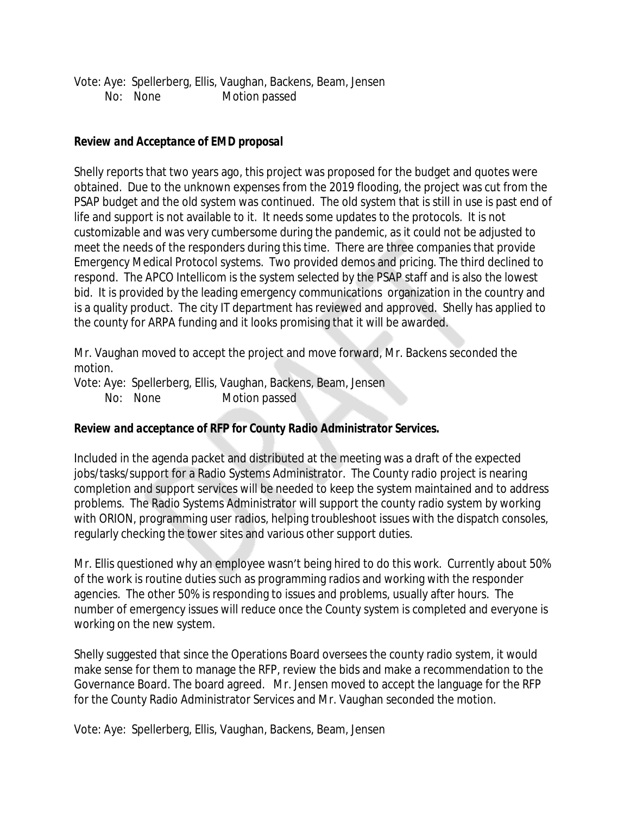Vote: Aye: Spellerberg, Ellis, Vaughan, Backens, Beam, Jensen No: None Motion passed

### *Review and Acceptance of EMD proposal*

Shelly reports that two years ago, this project was proposed for the budget and quotes were obtained. Due to the unknown expenses from the 2019 flooding, the project was cut from the PSAP budget and the old system was continued. The old system that is still in use is past end of life and support is not available to it. It needs some updates to the protocols. It is not customizable and was very cumbersome during the pandemic, as it could not be adjusted to meet the needs of the responders during this time. There are three companies that provide Emergency Medical Protocol systems. Two provided demos and pricing. The third declined to respond. The APCO Intellicom is the system selected by the PSAP staff and is also the lowest bid. It is provided by the leading emergency communications organization in the country and is a quality product. The city IT department has reviewed and approved. Shelly has applied to the county for ARPA funding and it looks promising that it will be awarded.

Mr. Vaughan moved to accept the project and move forward, Mr. Backens seconded the motion.

Vote: Aye: Spellerberg, Ellis, Vaughan, Backens, Beam, Jensen No: None Motion passed

#### *Review and acceptance of RFP for County Radio Administrator Services.*

Included in the agenda packet and distributed at the meeting was a draft of the expected jobs/tasks/support for a Radio Systems Administrator. The County radio project is nearing completion and support services will be needed to keep the system maintained and to address problems. The Radio Systems Administrator will support the county radio system by working with ORION, programming user radios, helping troubleshoot issues with the dispatch consoles, regularly checking the tower sites and various other support duties.

Mr. Ellis questioned why an employee wasn't being hired to do this work. Currently about 50% of the work is routine duties such as programming radios and working with the responder agencies. The other 50% is responding to issues and problems, usually after hours. The number of emergency issues will reduce once the County system is completed and everyone is working on the new system.

Shelly suggested that since the Operations Board oversees the county radio system, it would make sense for them to manage the RFP, review the bids and make a recommendation to the Governance Board. The board agreed. Mr. Jensen moved to accept the language for the RFP for the County Radio Administrator Services and Mr. Vaughan seconded the motion.

Vote: Aye: Spellerberg, Ellis, Vaughan, Backens, Beam, Jensen